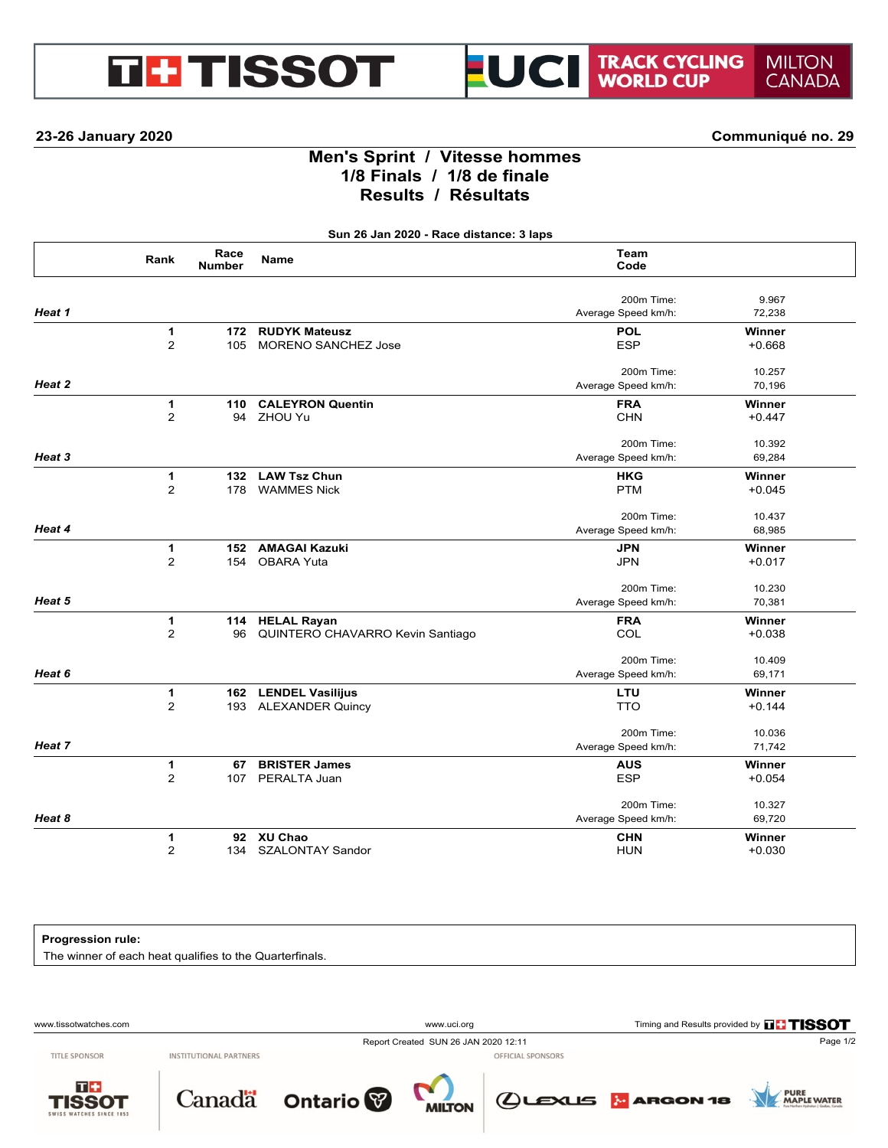# **GHTISSOT**



**23-26 January 2020 Communiqué no. 29**

## **Men's Sprint / Vitesse hommes 1/8 Finals / 1/8 de finale Results / Résultats**

**Sun 26 Jan 2020 - Race distance: 3 laps**

|        | Rank           | Race<br><b>Number</b> | <b>Name</b>                      | Team<br>Code        |          |
|--------|----------------|-----------------------|----------------------------------|---------------------|----------|
|        |                |                       |                                  | 200m Time:          | 9.967    |
| Heat 1 |                |                       |                                  | Average Speed km/h: | 72,238   |
|        | $\mathbf{1}$   | 172                   | <b>RUDYK Mateusz</b>             | <b>POL</b>          | Winner   |
|        | $\overline{2}$ | 105                   | <b>MORENO SANCHEZ Jose</b>       | <b>ESP</b>          | $+0.668$ |
|        |                |                       |                                  | 200m Time:          | 10.257   |
| Heat 2 |                |                       |                                  | Average Speed km/h: | 70,196   |
|        | 1              | 110                   | <b>CALEYRON Quentin</b>          | <b>FRA</b>          | Winner   |
|        | $\overline{2}$ | 94                    | ZHOU Yu                          | <b>CHN</b>          | $+0.447$ |
|        |                |                       |                                  | 200m Time:          | 10.392   |
| Heat 3 |                |                       |                                  | Average Speed km/h: | 69,284   |
|        | $\mathbf{1}$   | 132                   | <b>LAW Tsz Chun</b>              | <b>HKG</b>          | Winner   |
|        | $\overline{2}$ | 178                   | <b>WAMMES Nick</b>               | <b>PTM</b>          | $+0.045$ |
|        |                |                       |                                  | 200m Time:          | 10.437   |
| Heat 4 |                |                       |                                  | Average Speed km/h: | 68,985   |
|        | 1              | 152                   | <b>AMAGAI Kazuki</b>             | <b>JPN</b>          | Winner   |
|        | 2              | 154                   | <b>OBARA Yuta</b>                | <b>JPN</b>          | $+0.017$ |
|        |                |                       |                                  | 200m Time:          | 10.230   |
| Heat 5 |                |                       |                                  | Average Speed km/h: | 70,381   |
|        | $\mathbf{1}$   | 114                   | <b>HELAL Rayan</b>               | <b>FRA</b>          | Winner   |
|        | $\overline{2}$ | 96                    | QUINTERO CHAVARRO Kevin Santiago | COL                 | $+0.038$ |
|        |                |                       |                                  | 200m Time:          | 10.409   |
| Heat 6 |                |                       |                                  | Average Speed km/h: | 69,171   |
|        | 1              |                       | 162 LENDEL Vasilijus             | LTU                 | Winner   |
|        | 2              | 193                   | <b>ALEXANDER Quincy</b>          | <b>TTO</b>          | $+0.144$ |
|        |                |                       |                                  | 200m Time:          | 10.036   |
| Heat 7 |                |                       |                                  | Average Speed km/h: | 71,742   |
|        | $\mathbf{1}$   | 67                    | <b>BRISTER James</b>             | <b>AUS</b>          | Winner   |
|        | 2              | 107                   | PERALTA Juan                     | <b>ESP</b>          | $+0.054$ |
|        |                |                       |                                  | 200m Time:          | 10.327   |
| Heat 8 |                |                       |                                  | Average Speed km/h: | 69,720   |
|        | 1              |                       | 92 XU Chao                       | <b>CHN</b>          | Winner   |
|        | 2              | 134                   | <b>SZALONTAY Sandor</b>          | <b>HUN</b>          | $+0.030$ |

#### **Progression rule:**

The winner of each heat qualifies to the Quarterfinals.